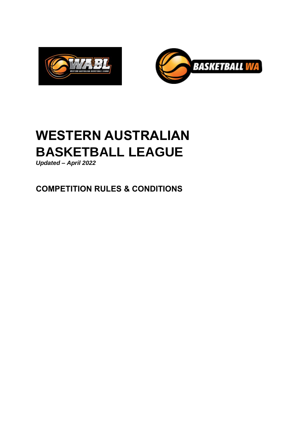



*Updated – April 2022*

**COMPETITION RULES & CONDITIONS**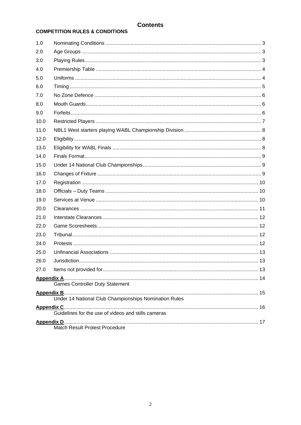# **Contents**

# **COMPETITION RULES & CONDITIONS**

| 1.0                                                   |                                                     |  |
|-------------------------------------------------------|-----------------------------------------------------|--|
| 2.0                                                   |                                                     |  |
| 3.0                                                   |                                                     |  |
| 4.0                                                   |                                                     |  |
| 5.0                                                   |                                                     |  |
| 6.0                                                   |                                                     |  |
| 7.0                                                   |                                                     |  |
| 8.0                                                   |                                                     |  |
| 9.0                                                   |                                                     |  |
| 10.0                                                  |                                                     |  |
| 11.0                                                  |                                                     |  |
| 12.0                                                  |                                                     |  |
| 13.0                                                  |                                                     |  |
| 14.0                                                  |                                                     |  |
| 15.0                                                  |                                                     |  |
| 16.0                                                  |                                                     |  |
| 17.0                                                  |                                                     |  |
| 18.0                                                  |                                                     |  |
| 19.0                                                  |                                                     |  |
| 20.0                                                  |                                                     |  |
| 21.0                                                  |                                                     |  |
| 22.0                                                  |                                                     |  |
| 23.0                                                  |                                                     |  |
| 24.0                                                  |                                                     |  |
| 25.0                                                  |                                                     |  |
| 26.0                                                  |                                                     |  |
| 27.0                                                  |                                                     |  |
| <b>Games Controller Duty Statement</b>                |                                                     |  |
| Under 14 National Club Championships Nomination Rules |                                                     |  |
|                                                       | Guidelines for the use of videos and stills cameras |  |
| Match Result Protest Procedure                        |                                                     |  |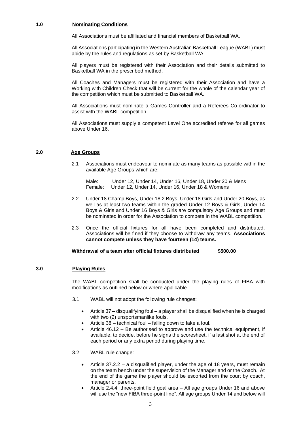# **1.0 Nominating Conditions**

All Associations must be affiliated and financial members of Basketball WA.

All Associations participating in the Western Australian Basketball League (WABL) must abide by the rules and regulations as set by Basketball WA.

All players must be registered with their Association and their details submitted to Basketball WA in the prescribed method.

All Coaches and Managers must be registered with their Association and have a Working with Children Check that will be current for the whole of the calendar year of the competition which must be submitted to Basketball WA.

All Associations must nominate a Games Controller and a Referees Co-ordinator to assist with the WABL competition.

All Associations must supply a competent Level One accredited referee for all games above Under 16.

# **2.0 Age Groups**

2.1 Associations must endeavour to nominate as many teams as possible within the available Age Groups which are:

Male: Under 12, Under 14, Under 16, Under 18, Under 20 & Mens Female: Under 12, Under 14, Under 16, Under 18 & Womens

- 2.2 Under 18 Champ Boys, Under 18 2 Boys, Under 18 Girls and Under 20 Boys, as well as at least two teams within the graded Under 12 Boys & Girls, Under 14 Boys & Girls and Under 16 Boys & Girls are compulsory Age Groups and must be nominated in order for the Association to compete in the WABL competition.
- 2.3 Once the official fixtures for all have been completed and distributed, Associations will be fined if they choose to withdraw any teams. **Associations cannot compete unless they have fourteen (14) teams.**

# **Withdrawal of a team after official fixtures distributed \$500.00**

#### **3.0 Playing Rules**

The WABL competition shall be conducted under the playing rules of FIBA with modifications as outlined below or where applicable.

- 3.1 WABL will not adopt the following rule changes:
	- Article 37 disqualifying foul a player shall be disqualified when he is charged with two (2) unsportsmanlike fouls.
	- Article 38 technical foul falling down to fake a foul.
	- Article 46.12 Be authorised to approve and use the technical equipment, if available, to decide, before he signs the scoresheet, if a last shot at the end of each period or any extra period during playing time.
- 3.2 WABL rule change:
	- Article 37.2.2 a disqualified player, under the age of 18 years, must remain on the team bench under the supervision of the Manager and or the Coach. At the end of the game the player should be escorted from the court by coach, manager or parents.
	- Article 2.4.4 three-point field goal area All age groups Under 16 and above will use the "new FIBA three-point line". All age groups Under 14 and below will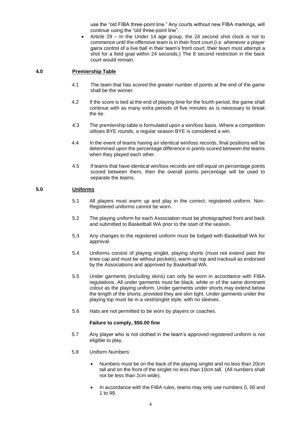use the "old FIBA three-point line." Any courts without new FIBA markings, will continue using the "old three-point line".

• Article 29 – In the Under 14 age group, the 24 second shot clock is not to commence until the offensive team is in their front court (i.e. whenever a player gains control of a live ball in their team's front court, their team must attempt a shot for a field goal within 24 seconds.) The 8 second restriction in the back court would remain.

# **4.0 Premiership Table**

- 4.1 The team that has scored the greater number of points at the end of the game shall be the winner.
- 4.2 If the score is tied at the end of playing time for the fourth period, the game shall continue with as many extra periods of five minutes as is necessary to break the tie.
- 4.3 The premiership table is formulated upon a win/loss basis. Where a competition utilises BYE rounds, a regular season BYE is considered a win.
- 4.4 In the event of teams having an identical win/loss records, final positions will be determined upon the percentage difference in points scored between the teams when they played each other.
- 4.5 If teams that have identical win/loss records are still equal on percentage points scored between them, then the overall points percentage will be used to separate the teams.

# **5.0 Uniforms**

- 5.1 All players must warm up and play in the correct, registered uniform. Non-Registered uniforms cannot be worn.
- 5.2 The playing uniform for each Association must be photographed front and back and submitted to Basketball WA prior to the start of the season.
- 5.3 Any changes to the registered uniform must be lodged with Basketball WA for approval.
- 5.4 Uniforms consist of playing singlet, playing shorts (must not extend past the knee cap and must be without pockets), warm-up top and tracksuit as endorsed by the Associations and approved by Basketball WA.
- 5.5 Under garments (including skins) can only be worn in accordance with FIBA regulations. All under garments must be black, white or of the same dominant colour as the playing uniform. Under garments under shorts may extend below the length of the shorts, provided they are skin tight. Under garments under the playing top must be in a vest/singlet style, with no sleeves.
- 5.6 Hats are not permitted to be worn by players or coaches.

#### **Failure to comply, \$50.00 fine**

- 5.7 Any player who is not clothed in the team's approved registered uniform is not eligible to play.
- 5.8 Uniform Numbers:
	- Numbers must be on the back of the playing singlet and no less than 20cm tall and on the front of the singlet no less than 10cm tall. (All numbers shall not be less than 2cm wide).
	- In accordance with the FIBA rules, teams may only use numbers 0, 00 and 1 to 99.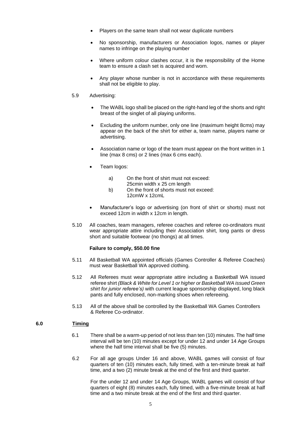- Players on the same team shall not wear duplicate numbers
- No sponsorship, manufacturers or Association logos, names or player names to infringe on the playing number
- Where uniform colour clashes occur, it is the responsibility of the Home team to ensure a clash set is acquired and worn.
- Any player whose number is not in accordance with these requirements shall not be eligible to play.

#### 5.9 Advertising:

- The WABL logo shall be placed on the right-hand leg of the shorts and right breast of the singlet of all playing uniforms.
- Excluding the uniform number, only one line (maximum height 8cms) may appear on the back of the shirt for either a, team name, players name or advertising.
- Association name or logo of the team must appear on the front written in 1 line (max 8 cms) or 2 lines (max 6 cms each).
- Team logos:
	- a) On the front of shirt must not exceed: 25cmin width x 25 cm length
	- b) On the front of shorts must not exceed: 12cmW x 12cmL
- Manufacturer's logo or advertising (on front of shirt or shorts) must not exceed 12cm in width x 12cm in length.
- 5.10 All coaches, team managers, referee coaches and referee co-ordinators must wear appropriate attire including their Association shirt, long pants or dress short and suitable footwear (no thongs) at all times.

#### **Failure to comply, \$50.00 fine**

- 5.11 All Basketball WA appointed officials (Games Controller & Referee Coaches) must wear Basketball WA approved clothing.
- 5.12 All Referees must wear appropriate attire including a Basketball WA issued referee shirt *(Black & White for Level 1 or higher or Basketball WA issued Green shirt for junior referee's)* with current league sponsorship displayed, long black pants and fully enclosed, non-marking shoes when refereeing.
- 5.13 All of the above shall be controlled by the Basketball WA Games Controllers & Referee Co-ordinator.

#### **6.0 Timing**

- 6.1 There shall be a warm-up period of not less than ten (10) minutes. The half time interval will be ten (10) minutes except for under 12 and under 14 Age Groups where the half time interval shall be five (5) minutes.
- 6.2 For all age groups Under 16 and above, WABL games will consist of four quarters of ten (10) minutes each, fully timed, with a ten-minute break at half time, and a two (2) minute break at the end of the first and third quarter.

For the under 12 and under 14 Age Groups, WABL games will consist of four quarters of eight (8) minutes each, fully timed, with a five-minute break at half time and a two minute break at the end of the first and third quarter.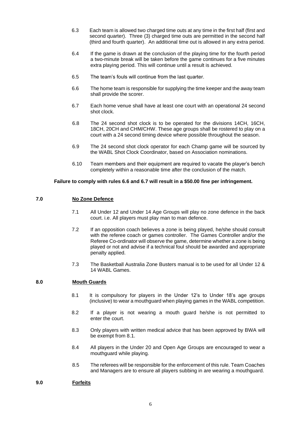- 6.3 Each team is allowed two charged time outs at any time in the first half (first and second quarter). Three (3) charged time outs are permitted in the second half (third and fourth quarter). An additional time out is allowed in any extra period.
- 6.4 If the game is drawn at the conclusion of the playing time for the fourth period a two-minute break will be taken before the game continues for a five minutes extra playing period. This will continue until a result is achieved.
- 6.5 The team's fouls will continue from the last quarter.
- 6.6 The home team is responsible for supplying the time keeper and the away team shall provide the scorer.
- 6.7 Each home venue shall have at least one court with an operational 24 second shot clock.
- 6.8 The 24 second shot clock is to be operated for the divisions 14CH, 16CH, 18CH, 20CH and CHM/CHW. These age groups shall be rostered to play on a court with a 24 second timing device where possible throughout the season.
- 6.9 The 24 second shot clock operator for each Champ game will be sourced by the WABL Shot Clock Coordinator, based on Association nominations.
- 6.10 Team members and their equipment are required to vacate the player's bench completely within a reasonable time after the conclusion of the match.

# **Failure to comply with rules 6.6 and 6.7 will result in a \$50.00 fine per infringement.**

# **7.0 No Zone Defence**

- 7.1 All Under 12 and Under 14 Age Groups will play no zone defence in the back court. i.e. All players must play man to man defence.
- 7.2 If an opposition coach believes a zone is being played, he/she should consult with the referee coach or games controller. The Games Controller and/or the Referee Co-ordinator will observe the game, determine whether a zone is being played or not and advise if a technical foul should be awarded and appropriate penalty applied.
- 7.3 The Basketball Australia Zone Busters manual is to be used for all Under 12 & 14 WABL Games.

#### **8.0 Mouth Guards**

- 8.1 It is compulsory for players in the Under 12's to Under 18's age groups (inclusive) to wear a mouthguard when playing games in the WABL competition.
- 8.2 If a player is not wearing a mouth guard he/she is not permitted to enter the court.
- 8.3 Only players with written medical advice that has been approved by BWA will be exempt from 8.1.
- 8.4 All players in the Under 20 and Open Age Groups are encouraged to wear a mouthguard while playing.
- 8.5 The referees will be responsible for the enforcement of this rule. Team Coaches and Managers are to ensure all players subbing in are wearing a mouthguard.

#### **9.0 Forfeits**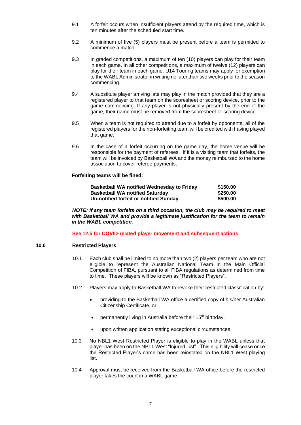- 9.1 A forfeit occurs when insufficient players attend by the required time, which is ten minutes after the scheduled start time.
- 9.2 A minimum of five (5) players must be present before a team is permitted to commence a match.
- 9.3 In graded competitions, a maximum of ten (10) players can play for their team in each game. In all other competitions, a maximum of twelve (12) players can play for their team in each game. U14 Touring teams may apply for exemption to the WABL Administrator in writing no later than two weeks prior to the season commencing.
- 9.4 A substitute player arriving late may play in the match provided that they are a registered player to that team on the scoresheet or scoring device, prior to the game commencing. If any player is not physically present by the end of the game, their name must be removed from the scoresheet or scoring device.
- 9.5 When a team is not required to attend due to a forfeit by opponents, all of the registered players for the non-forfeiting team will be credited with having played that game.
- 9.6 In the case of a forfeit occurring on the game day, the home venue will be responsible for the payment of referees. If it is a visiting team that forfeits, the team will be invoiced by Basketball WA and the money reimbursed to the home association to cover referee payments.

# **Forfeiting teams will be fined:**

| <b>Basketball WA notified Wednesday to Friday</b> | \$150.00 |
|---------------------------------------------------|----------|
| <b>Basketball WA notified Saturday</b>            | \$250.00 |
| Un-notified forfeit or notified Sunday            | \$500,00 |

*NOTE: If any team forfeits on a third occasion, the club may be required to meet with Basketball WA and provide a legitimate justification for the team to remain in the WABL competition.*

**See 12.5 for COVID-related player movement and subsequent actions.**

# **10.0 Restricted Players**

- 10.1 Each club shall be limited to no more than two (2) players per team who are not eligible to represent the Australian National Team in the Main Official Competition of FIBA, pursuant to all FIBA regulations as determined from time to time. These players will be known as "Restricted Players".
- 10.2 Players may apply to Basketball WA to revoke their restricted classification by:
	- providing to the Basketball WA office a certified copy of his/her Australian Citizenship Certificate, or
	- permanently living in Australia before their 15<sup>th</sup> birthday.
	- upon written application stating exceptional circumstances.
- 10.3 No NBL1 West Restricted Player is eligible to play in the WABL unless that player has been on the NBL1 West "Injured List". This eligibility will cease once the Restricted Player's name has been reinstated on the NBL1 West playing list.
- 10.4 Approval must be received from the Basketball WA office before the restricted player takes the court in a WABL game.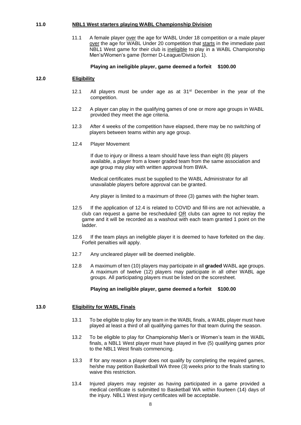#### **11.0 NBL1 West starters playing WABL Championship Division**

11.1 A female player over the age for WABL Under 18 competition or a male player over the age for WABL Under 20 competition that starts in the immediate past NBL1 West game for their club is ineligible to play in a WABL Championship Men's/Women's game (former D-League/Division 1).

#### **Playing an ineligible player, game deemed a forfeit \$100.00**

# **12.0 Eligibility**

- 12.1 All players must be under age as at  $31<sup>st</sup>$  December in the year of the competition.
- 12.2 A player can play in the qualifying games of one or more age groups in WABL provided they meet the age criteria.
- 12.3 After 4 weeks of the competition have elapsed, there may be no switching of players between teams within any age group.
- 12.4 Player Movement

If due to injury or illness a team should have less than eight (8) players available, a player from a lower graded team from the same association and age group may play with written approval from BWA.

Medical certificates must be supplied to the WABL Administrator for all unavailable players before approval can be granted.

Any player is limited to a maximum of three (3) games with the higher team.

- 12.5 If the application of 12.4 is related to COVID and fill-ins are not achievable, a club can request a game be rescheduled OR clubs can agree to not replay the game and it will be recorded as a washout with each team granted 1 point on the ladder.
- 12.6 If the team plays an ineligible player it is deemed to have forfeited on the day. Forfeit penalties will apply.
- 12.7 Any uncleared player will be deemed ineligible.
- 12.8 A maximum of ten (10) players may participate in all **graded** WABL age groups. A maximum of twelve (12) players may participate in all other WABL age groups. All participating players must be listed on the scoresheet.

#### **Playing an ineligible player, game deemed a forfeit \$100.00**

# **13.0 Eligibility for WABL Finals**

- 13.1 To be eligible to play for any team in the WABL finals, a WABL player must have played at least a third of all qualifying games for that team during the season.
- 13.2 To be eligible to play for Championship Men's or Women's team in the WABL finals, a NBL1 West player must have played in five (5) qualifying games prior to the NBL1 West finals commencing.
- 13.3 If for any reason a player does not qualify by completing the required games, he/she may petition Basketball WA three (3) weeks prior to the finals starting to waive this restriction.
- 13.4 Injured players may register as having participated in a game provided a medical certificate is submitted to Basketball WA within fourteen (14) days of the injury. NBL1 West injury certificates will be acceptable.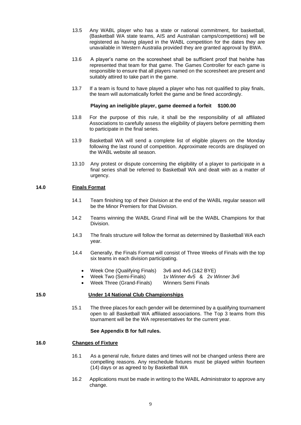- 13.5 Any WABL player who has a state or national commitment, for basketball, (Basketball WA state teams, AIS and Australian camps/competitions) will be registered as having played in the WABL competition for the dates they are unavailable in Western Australia provided they are granted approval by BWA.
- 13.6 A player's name on the scoresheet shall be sufficient proof that he/she has represented that team for that game. The Games Controller for each game is responsible to ensure that all players named on the scoresheet are present and suitably attired to take part in the game.
- 13.7 If a team is found to have played a player who has not qualified to play finals, the team will automatically forfeit the game and be fined accordingly.

# **Playing an ineligible player, game deemed a forfeit \$100.00**

- 13.8 For the purpose of this rule, it shall be the responsibility of all affiliated Associations to carefully assess the eligibility of players before permitting them to participate in the final series.
- 13.9 Basketball WA will send a complete list of eligible players on the Monday following the last round of competition. Approximate records are displayed on the WABL website all season.
- 13.10 Any protest or dispute concerning the eligibility of a player to participate in a final series shall be referred to Basketball WA and dealt with as a matter of urgency.

# **14.0 Finals Format**

- 14.1 Team finishing top of their Division at the end of the WABL regular season will be the Minor Premiers for that Division.
- 14.2 Teams winning the WABL Grand Final will be the WABL Champions for that Division.
- 14.3 The finals structure will follow the format as determined by Basketball WA each year.
- 14.4 Generally, the Finals Format will consist of Three Weeks of Finals with the top six teams in each division participating.
	- Week One (Qualifying Finals) 3v6 and 4v5 (1&2 BYE)
	- Week Two (Semi-Finals) 1v *Winner 4v5* & 2v *Winner 3v6*
		-
		- Week Three (Grand-Finals) Winners Semi Finals

#### **15.0 Under 14 National Club Championships**

15.1 The three places for each gender will be determined by a qualifying tournament open to all Basketball WA affiliated associations. The Top 3 teams from this tournament will be the WA representatives for the current year.

#### **See Appendix B for full rules.**

#### **16.0 Changes of Fixture**

- 16.1 As a general rule, fixture dates and times will not be changed unless there are compelling reasons. Any reschedule fixtures must be played within fourteen (14) days or as agreed to by Basketball WA
- 16.2 Applications must be made in writing to the WABL Administrator to approve any change.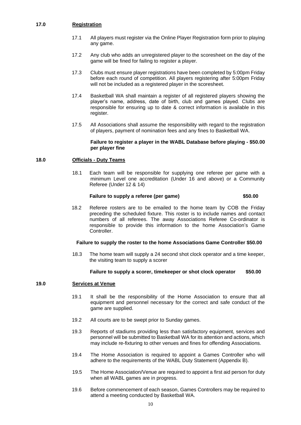## **17.0 Registration**

- 17.1 All players must register via the Online Player Registration form prior to playing any game.
- 17.2 Any club who adds an unregistered player to the scoresheet on the day of the game will be fined for failing to register a player.
- 17.3 Clubs must ensure player registrations have been completed by 5:00pm Friday before each round of competition. All players registering after 5:00pm Friday will not be included as a registered player in the scoresheet.
- 17.4 Basketball WA shall maintain a register of all registered players showing the player's name, address, date of birth, club and games played. Clubs are responsible for ensuring up to date & correct information is available in this register.
- 17.5 All Associations shall assume the responsibility with regard to the registration of players, payment of nomination fees and any fines to Basketball WA.

#### **Failure to register a player in the WABL Database before playing - \$50.00 per player fine**

# **18.0 Officials - Duty Teams**

18.1 Each team will be responsible for supplying one referee per game with a minimum Level one accreditation (Under 16 and above) or a Community Referee (Under 12 & 14)

# Failure to supply a referee (per game)  $$50.00$

18.2 Referee rosters are to be emailed to the home team by COB the Friday preceding the scheduled fixture. This roster is to include names and contact numbers of all referees. The away Associations Referee Co-ordinator is responsible to provide this information to the home Association's Game Controller.

#### **Failure to supply the roster to the home Associations Game Controller \$50.00**

18.3 The home team will supply a 24 second shot clock operator and a time keeper, the visiting team to supply a scorer

#### **Failure to supply a scorer, timekeeper or shot clock operator \$50.00**

#### **19.0 Services at Venue**

- 19.1 It shall be the responsibility of the Home Association to ensure that all equipment and personnel necessary for the correct and safe conduct of the game are supplied.
- 19.2 All courts are to be swept prior to Sunday games.
- 19.3 Reports of stadiums providing less than satisfactory equipment, services and personnel will be submitted to Basketball WA for its attention and actions, which may include re-fixturing to other venues and fines for offending Associations.
- 19.4 The Home Association is required to appoint a Games Controller who will adhere to the requirements of the WABL Duty Statement (Appendix B).
- 19.5 The Home Association/Venue are required to appoint a first aid person for duty when all WABL games are in progress.
- 19.6 Before commencement of each season, Games Controllers may be required to attend a meeting conducted by Basketball WA.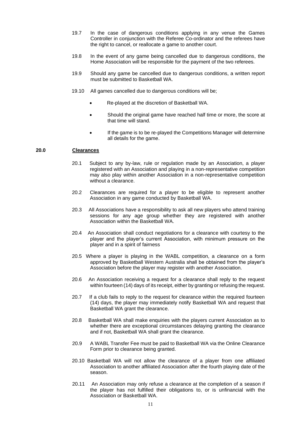- 19.7 In the case of dangerous conditions applying in any venue the Games Controller in conjunction with the Referee Co-ordinator and the referees have the right to cancel, or reallocate a game to another court.
- 19.8 In the event of any game being cancelled due to dangerous conditions, the Home Association will be responsible for the payment of the two referees.
- 19.9 Should any game be cancelled due to dangerous conditions, a written report must be submitted to Basketball WA.
- 19.10 All games cancelled due to dangerous conditions will be;
	- Re-played at the discretion of Basketball WA.
	- Should the original game have reached half time or more, the score at that time will stand.
	- If the game is to be re-played the Competitions Manager will determine all details for the game.

# **20.0 Clearances**

- 20.1 Subject to any by-law, rule or regulation made by an Association, a player registered with an Association and playing in a non-representative competition may also play within another Association in a non-representative competition without a clearance.
- 20.2 Clearances are required for a player to be eligible to represent another Association in any game conducted by Basketball WA.
- 20.3 All Associations have a responsibility to ask all new players who attend training sessions for any age group whether they are registered with another Association within the Basketball WA.
- 20.4 An Association shall conduct negotiations for a clearance with courtesy to the player and the player's current Association, with minimum pressure on the player and in a spirit of fairness
- 20.5 Where a player is playing in the WABL competition, a clearance on a form approved by Basketball Western Australia shall be obtained from the player's Association before the player may register with another Association.
- 20.6 An Association receiving a request for a clearance shall reply to the request within fourteen (14) days of its receipt, either by granting or refusing the request.
- 20.7 If a club fails to reply to the request for clearance within the required fourteen (14) days, the player may immediately notify Basketball WA and request that Basketball WA grant the clearance.
- 20.8 Basketball WA shall make enquiries with the players current Association as to whether there are exceptional circumstances delaying granting the clearance and if not, Basketball WA shall grant the clearance.
- 20.9 A WABL Transfer Fee must be paid to Basketball WA via the Online Clearance Form prior to clearance being granted.
- 20.10 Basketball WA will not allow the clearance of a player from one affiliated Association to another affiliated Association after the fourth playing date of the season.
- 20.11 An Association may only refuse a clearance at the completion of a season if the player has not fulfilled their obligations to, or is unfinancial with the Association or Basketball WA.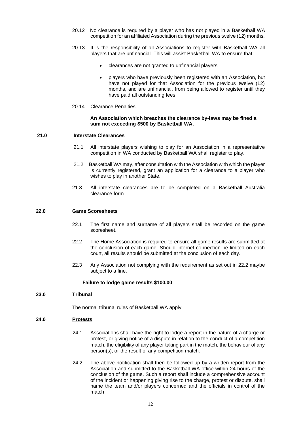- 20.12 No clearance is required by a player who has not played in a Basketball WA competition for an affiliated Association during the previous twelve (12) months.
- 20.13 It is the responsibility of all Associations to register with Basketball WA all players that are unfinancial. This will assist Basketball WA to ensure that:
	- clearances are not granted to unfinancial players
	- players who have previously been registered with an Association, but have not played for that Association for the previous twelve (12) months, and are unfinancial, from being allowed to register until they have paid all outstanding fees
- 20.14 Clearance Penalties

#### **An Association which breaches the clearance by-laws may be fined a sum not exceeding \$500 by Basketball WA.**

#### **21.0 Interstate Clearances**

- 21.1 All interstate players wishing to play for an Association in a representative competition in WA conducted by Basketball WA shall register to play.
- 21.2 Basketball WA may, after consultation with the Association with which the player is currently registered, grant an application for a clearance to a player who wishes to play in another State.
- 21.3 All interstate clearances are to be completed on a Basketball Australia clearance form.

#### **22.0 Game Scoresheets**

- 22.1 The first name and surname of all players shall be recorded on the game scoresheet.
- 22.2 The Home Association is required to ensure all game results are submitted at the conclusion of each game. Should internet connection be limited on each court, all results should be submitted at the conclusion of each day.
- 22.3 Any Association not complying with the requirement as set out in 22.2 maybe subject to a fine.

#### **Failure to lodge game results \$100.00**

#### **23.0 Tribunal**

The normal tribunal rules of Basketball WA apply.

#### **24.0 Protests**

- 24.1 Associations shall have the right to lodge a report in the nature of a charge or protest, or giving notice of a dispute in relation to the conduct of a competition match, the eligibility of any player taking part in the match, the behaviour of any person(s), or the result of any competition match.
- 24.2 The above notification shall then be followed up by a written report from the Association and submitted to the Basketball WA office within 24 hours of the conclusion of the game. Such a report shall include a comprehensive account of the incident or happening giving rise to the charge, protest or dispute, shall name the team and/or players concerned and the officials in control of the match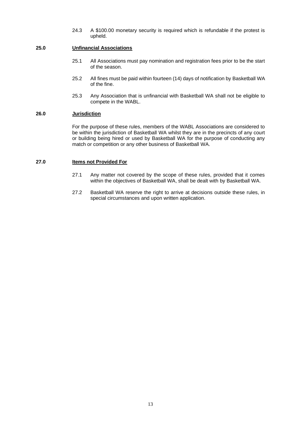24.3 A \$100.00 monetary security is required which is refundable if the protest is upheld.

# **25.0 Unfinancial Associations**

- 25.1 All Associations must pay nomination and registration fees prior to be the start of the season.
- 25.2 All fines must be paid within fourteen (14) days of notification by Basketball WA of the fine.
- 25.3 Any Association that is unfinancial with Basketball WA shall not be eligible to compete in the WABL.

# **26.0 Jurisdiction**

For the purpose of these rules, members of the WABL Associations are considered to be within the jurisdiction of Basketball WA whilst they are in the precincts of any court or building being hired or used by Basketball WA for the purpose of conducting any match or competition or any other business of Basketball WA.

#### **27.0 Items not Provided For**

- 27.1 Any matter not covered by the scope of these rules, provided that it comes within the objectives of Basketball WA, shall be dealt with by Basketball WA.
- 27.2 Basketball WA reserve the right to arrive at decisions outside these rules, in special circumstances and upon written application.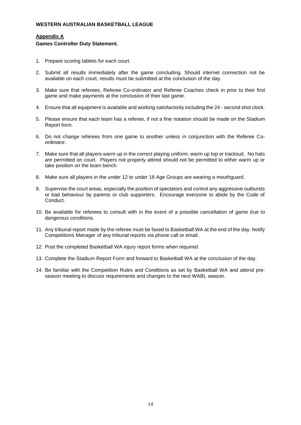# **Appendix A**

#### **Games Controller Duty Statement.**

- 1. Prepare scoring tablets for each court.
- 2. Submit all results immediately after the game concluding. Should internet connection not be available on each court, results must be submitted at the conclusion of the day.
- 3. Make sure that referees, Referee Co-ordinator and Referee Coaches check in prior to their first game and make payments at the conclusion of their last game.
- 4. Ensure that all equipment is available and working satisfactorily including the 24 second shot clock.
- 5. Please ensure that each team has a referee, if not a fine notation should be made on the Stadium Report form.
- 6. Do not change referees from one game to another unless in conjunction with the Referee Coordinator.
- 7. Make sure that all players warm up in the correct playing uniform, warm up top or tracksuit. No hats are permitted on court. Players not properly attired should not be permitted to either warm up or take position on the team bench.
- 8. Make sure all players in the under 12 to under 18 Age Groups are wearing a mouthguard.
- 9. Supervise the court areas, especially the position of spectators and control any aggressive outbursts or bad behaviour by parents or club supporters. Encourage everyone to abide by the Code of Conduct.
- 10. Be available for referees to consult with in the event of a possible cancellation of game due to dangerous conditions.
- 11. Any tribunal report made by the referee must be faxed to Basketball WA at the end of the day. Notify Competitions Manager of any tribunal reports via phone call or email.
- 12. Post the completed Basketball WA injury report forms when required.
- 13. Complete the Stadium Report Form and forward to Basketball WA at the conclusion of the day.
- 14. Be familiar with the Competition Rules and Conditions as set by Basketball WA and attend preseason meeting to discuss requirements and changes to the next WABL season.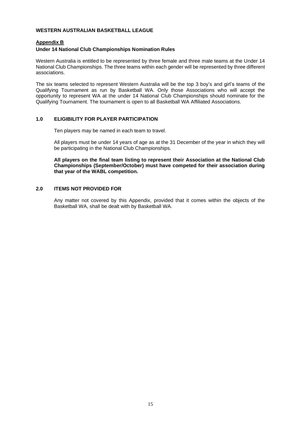# **Appendix B**

#### **Under 14 National Club Championships Nomination Rules**

Western Australia is entitled to be represented by three female and three male teams at the Under 14 National Club Championships. The three teams within each gender will be represented by three different associations.

The six teams selected to represent Western Australia will be the top 3 boy's and girl's teams of the Qualifying Tournament as run by Basketball WA. Only those Associations who will accept the opportunity to represent WA at the under 14 National Club Championships should nominate for the Qualifying Tournament. The tournament is open to all Basketball WA Affiliated Associations.

# **1.0 ELIGIBILITY FOR PLAYER PARTICIPATION**

Ten players may be named in each team to travel.

All players must be under 14 years of age as at the 31 December of the year in which they will be participating in the National Club Championships.

**All players on the final team listing to represent their Association at the National Club Championships (September/October) must have competed for their association during that year of the WABL competition.** 

# **2.0 ITEMS NOT PROVIDED FOR**

Any matter not covered by this Appendix, provided that it comes within the objects of the Basketball WA, shall be dealt with by Basketball WA.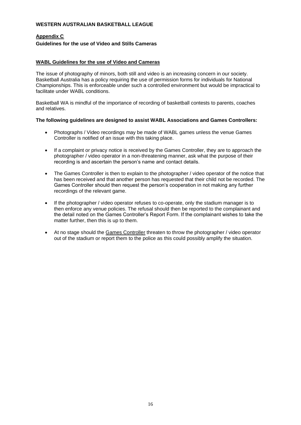# **Appendix C**

# **Guidelines for the use of Video and Stills Cameras**

# **WABL Guidelines for the use of Video and Cameras**

The issue of photography of minors, both still and video is an increasing concern in our society. Basketball Australia has a policy requiring the use of permission forms for individuals for National Championships. This is enforceable under such a controlled environment but would be impractical to facilitate under WABL conditions.

Basketball WA is mindful of the importance of recording of basketball contests to parents, coaches and relatives.

#### **The following guidelines are designed to assist WABL Associations and Games Controllers:**

- Photographs / Video recordings may be made of WABL games unless the venue Games Controller is notified of an issue with this taking place.
- If a complaint or privacy notice is received by the Games Controller, they are to approach the photographer / video operator in a non-threatening manner, ask what the purpose of their recording is and ascertain the person's name and contact details.
- The Games Controller is then to explain to the photographer / video operator of the notice that has been received and that another person has requested that their child not be recorded. The Games Controller should then request the person's cooperation in not making any further recordings of the relevant game.
- If the photographer / video operator refuses to co-operate, only the stadium manager is to then enforce any venue policies. The refusal should then be reported to the complainant and the detail noted on the Games Controller's Report Form. If the complainant wishes to take the matter further, then this is up to them.
- At no stage should the Games Controller threaten to throw the photographer / video operator out of the stadium or report them to the police as this could possibly amplify the situation.